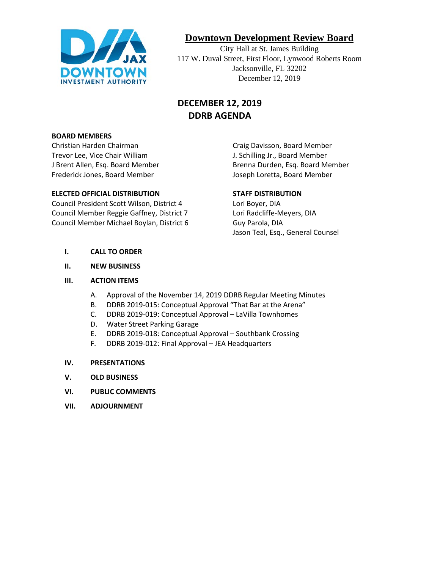

# **Downtown Development Review Board**

City Hall at St. James Building 117 W. Duval Street, First Floor, Lynwood Roberts Room Jacksonville, FL 32202 December 12, 2019

# **DECEMBER 12, 2019 DDRB AGENDA**

#### **BOARD MEMBERS**

Christian Harden Chairman Craig Davisson, Board Member Trevor Lee, Vice Chair William J. Schilling Jr., Board Member Frederick Jones, Board Member **Joseph Loretta, Board Member** Joseph Loretta, Board Member

#### **ELECTED OFFICIAL DISTRIBUTION STAFF DISTRIBUTION**

Council President Scott Wilson, District 4 Lori Boyer, DIA Council Member Reggie Gaffney, District 7 Lori Radcliffe-Meyers, DIA Council Member Michael Boylan, District 6 Guy Parola, DIA

J Brent Allen, Esq. Board Member **Brenna Durden, Esq. Board Member** 

Jason Teal, Esq., General Counsel

- **I. CALL TO ORDER**
- **II. NEW BUSINESS**

#### **III. ACTION ITEMS**

- A. Approval of the November 14, 2019 DDRB Regular Meeting Minutes
- B. DDRB 2019-015: Conceptual Approval "That Bar at the Arena"
- C. DDRB 2019-019: Conceptual Approval LaVilla Townhomes
- D. Water Street Parking Garage
- E. DDRB 2019-018: Conceptual Approval Southbank Crossing
- F. DDRB 2019-012: Final Approval JEA Headquarters
- **IV. PRESENTATIONS**
- **V. OLD BUSINESS**
- **VI. PUBLIC COMMENTS**
- **VII. ADJOURNMENT**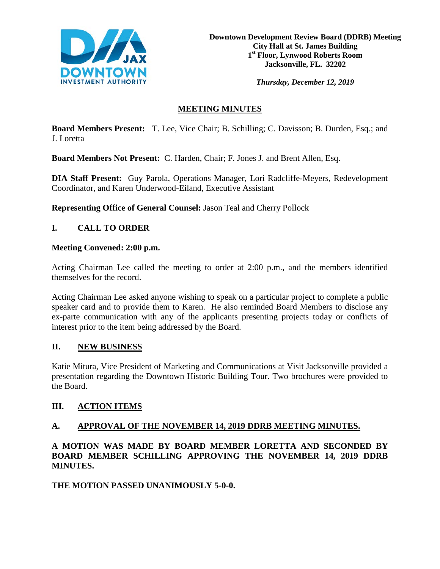

**Downtown Development Review Board (DDRB) Meeting City Hall at St. James Building 1st Floor, Lynwood Roberts Room Jacksonville, FL. 32202**

*Thursday, December 12, 2019*

# **MEETING MINUTES**

**Board Members Present:** T. Lee, Vice Chair; B. Schilling; C. Davisson; B. Durden, Esq.; and J. Loretta

**Board Members Not Present:** C. Harden, Chair; F. Jones J. and Brent Allen, Esq.

**DIA Staff Present:** Guy Parola, Operations Manager, Lori Radcliffe-Meyers, Redevelopment Coordinator, and Karen Underwood-Eiland, Executive Assistant

**Representing Office of General Counsel:** Jason Teal and Cherry Pollock

## **I. CALL TO ORDER**

#### **Meeting Convened: 2:00 p.m.**

Acting Chairman Lee called the meeting to order at 2:00 p.m., and the members identified themselves for the record.

Acting Chairman Lee asked anyone wishing to speak on a particular project to complete a public speaker card and to provide them to Karen. He also reminded Board Members to disclose any ex-parte communication with any of the applicants presenting projects today or conflicts of interest prior to the item being addressed by the Board.

## **II. NEW BUSINESS**

Katie Mitura, Vice President of Marketing and Communications at Visit Jacksonville provided a presentation regarding the Downtown Historic Building Tour. Two brochures were provided to the Board.

## **III. ACTION ITEMS**

## **A. APPROVAL OF THE NOVEMBER 14, 2019 DDRB MEETING MINUTES.**

**A MOTION WAS MADE BY BOARD MEMBER LORETTA AND SECONDED BY BOARD MEMBER SCHILLING APPROVING THE NOVEMBER 14, 2019 DDRB MINUTES.** 

**THE MOTION PASSED UNANIMOUSLY 5-0-0.**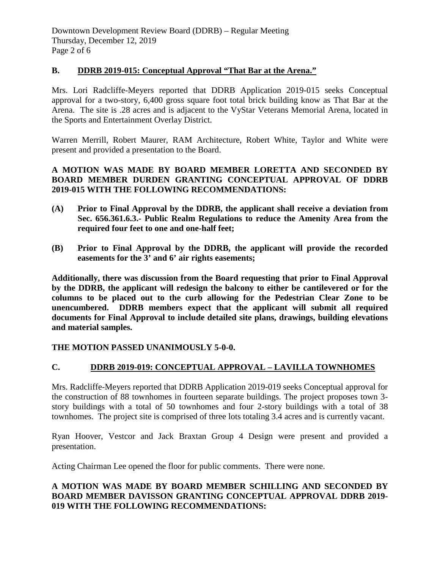#### **B. DDRB 2019-015: Conceptual Approval "That Bar at the Arena."**

Mrs. Lori Radcliffe-Meyers reported that DDRB Application 2019-015 seeks Conceptual approval for a two-story, 6,400 gross square foot total brick building know as That Bar at the Arena. The site is .28 acres and is adjacent to the VyStar Veterans Memorial Arena, located in the Sports and Entertainment Overlay District.

Warren Merrill, Robert Maurer, RAM Architecture, Robert White, Taylor and White were present and provided a presentation to the Board.

## **A MOTION WAS MADE BY BOARD MEMBER LORETTA AND SECONDED BY BOARD MEMBER DURDEN GRANTING CONCEPTUAL APPROVAL OF DDRB 2019-015 WITH THE FOLLOWING RECOMMENDATIONS:**

- **(A) Prior to Final Approval by the DDRB, the applicant shall receive a deviation from Sec. 656.361.6.3.- Public Realm Regulations to reduce the Amenity Area from the required four feet to one and one-half feet;**
- **(B) Prior to Final Approval by the DDRB, the applicant will provide the recorded easements for the 3' and 6' air rights easements;**

**Additionally, there was discussion from the Board requesting that prior to Final Approval by the DDRB, the applicant will redesign the balcony to either be cantilevered or for the columns to be placed out to the curb allowing for the Pedestrian Clear Zone to be unencumbered. DDRB members expect that the applicant will submit all required documents for Final Approval to include detailed site plans, drawings, building elevations and material samples.**

**THE MOTION PASSED UNANIMOUSLY 5-0-0.** 

## **C. DDRB 2019-019: CONCEPTUAL APPROVAL – LAVILLA TOWNHOMES**

Mrs. Radcliffe-Meyers reported that DDRB Application 2019-019 seeks Conceptual approval for the construction of 88 townhomes in fourteen separate buildings. The project proposes town 3 story buildings with a total of 50 townhomes and four 2-story buildings with a total of 38 townhomes. The project site is comprised of three lots totaling 3.4 acres and is currently vacant.

Ryan Hoover, Vestcor and Jack Braxtan Group 4 Design were present and provided a presentation.

Acting Chairman Lee opened the floor for public comments. There were none.

#### **A MOTION WAS MADE BY BOARD MEMBER SCHILLING AND SECONDED BY BOARD MEMBER DAVISSON GRANTING CONCEPTUAL APPROVAL DDRB 2019- 019 WITH THE FOLLOWING RECOMMENDATIONS:**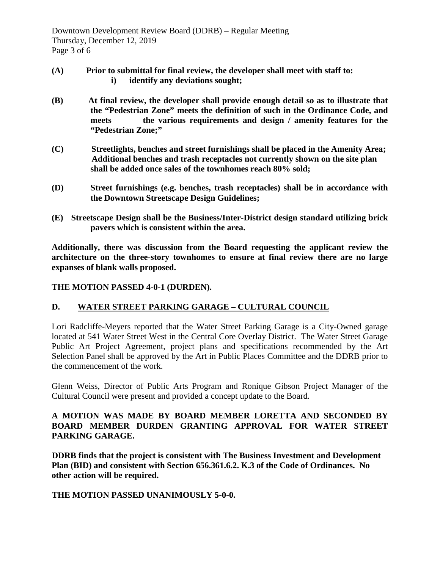- **(A) Prior to submittal for final review, the developer shall meet with staff to: i) identify any deviations sought;**
- **(B) At final review, the developer shall provide enough detail so as to illustrate that the "Pedestrian Zone" meets the definition of such in the Ordinance Code, and meets the various requirements and design / amenity features for the "Pedestrian Zone;"**
- **(C) Streetlights, benches and street furnishings shall be placed in the Amenity Area; Additional benches and trash receptacles not currently shown on the site plan shall be added once sales of the townhomes reach 80% sold;**
- **(D) Street furnishings (e.g. benches, trash receptacles) shall be in accordance with the Downtown Streetscape Design Guidelines;**
- **(E) Streetscape Design shall be the Business/Inter-District design standard utilizing brick pavers which is consistent within the area.**

**Additionally, there was discussion from the Board requesting the applicant review the architecture on the three-story townhomes to ensure at final review there are no large expanses of blank walls proposed.**

#### **THE MOTION PASSED 4-0-1 (DURDEN).**

## **D. WATER STREET PARKING GARAGE – CULTURAL COUNCIL**

Lori Radcliffe-Meyers reported that the Water Street Parking Garage is a City-Owned garage located at 541 Water Street West in the Central Core Overlay District. The Water Street Garage Public Art Project Agreement, project plans and specifications recommended by the Art Selection Panel shall be approved by the Art in Public Places Committee and the DDRB prior to the commencement of the work.

Glenn Weiss, Director of Public Arts Program and Ronique Gibson Project Manager of the Cultural Council were present and provided a concept update to the Board.

#### **A MOTION WAS MADE BY BOARD MEMBER LORETTA AND SECONDED BY BOARD MEMBER DURDEN GRANTING APPROVAL FOR WATER STREET PARKING GARAGE.**

**DDRB finds that the project is consistent with The Business Investment and Development Plan (BID) and consistent with Section 656.361.6.2. K.3 of the Code of Ordinances. No other action will be required.**

#### **THE MOTION PASSED UNANIMOUSLY 5-0-0.**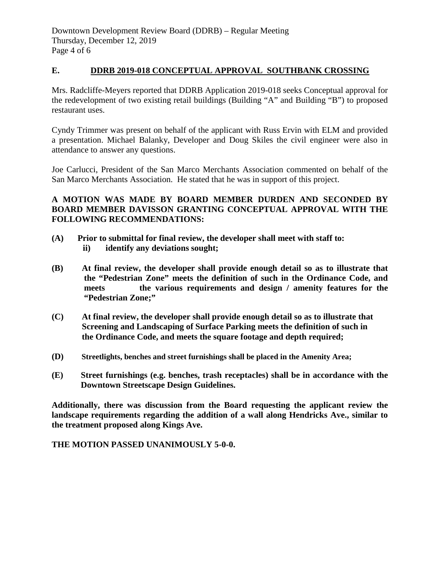#### **E. DDRB 2019-018 CONCEPTUAL APPROVAL SOUTHBANK CROSSING**

Mrs. Radcliffe-Meyers reported that DDRB Application 2019-018 seeks Conceptual approval for the redevelopment of two existing retail buildings (Building "A" and Building "B") to proposed restaurant uses.

Cyndy Trimmer was present on behalf of the applicant with Russ Ervin with ELM and provided a presentation. Michael Balanky, Developer and Doug Skiles the civil engineer were also in attendance to answer any questions.

Joe Carlucci, President of the San Marco Merchants Association commented on behalf of the San Marco Merchants Association. He stated that he was in support of this project.

## **A MOTION WAS MADE BY BOARD MEMBER DURDEN AND SECONDED BY BOARD MEMBER DAVISSON GRANTING CONCEPTUAL APPROVAL WITH THE FOLLOWING RECOMMENDATIONS:**

- **(A) Prior to submittal for final review, the developer shall meet with staff to: ii) identify any deviations sought;**
- **(B) At final review, the developer shall provide enough detail so as to illustrate that the "Pedestrian Zone" meets the definition of such in the Ordinance Code, and meets the various requirements and design / amenity features for the "Pedestrian Zone;"**
- **(C) At final review, the developer shall provide enough detail so as to illustrate that Screening and Landscaping of Surface Parking meets the definition of such in the Ordinance Code, and meets the square footage and depth required;**
- **(D) Streetlights, benches and street furnishings shall be placed in the Amenity Area;**
- **(E) Street furnishings (e.g. benches, trash receptacles) shall be in accordance with the Downtown Streetscape Design Guidelines.**

**Additionally, there was discussion from the Board requesting the applicant review the landscape requirements regarding the addition of a wall along Hendricks Ave., similar to the treatment proposed along Kings Ave.**

**THE MOTION PASSED UNANIMOUSLY 5-0-0.**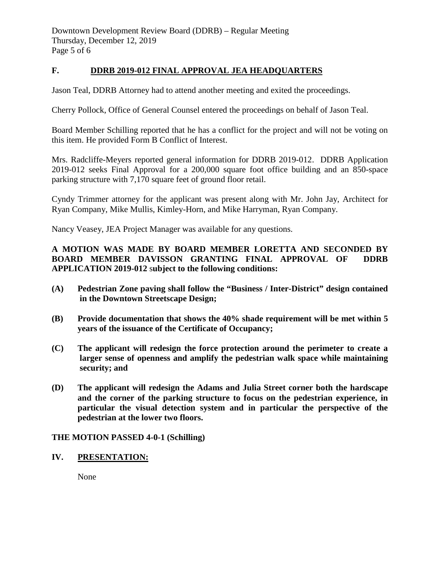Downtown Development Review Board (DDRB) – Regular Meeting Thursday, December 12, 2019 Page 5 of 6

#### **F. DDRB 2019-012 FINAL APPROVAL JEA HEADQUARTERS**

Jason Teal, DDRB Attorney had to attend another meeting and exited the proceedings.

Cherry Pollock, Office of General Counsel entered the proceedings on behalf of Jason Teal.

Board Member Schilling reported that he has a conflict for the project and will not be voting on this item. He provided Form B Conflict of Interest.

Mrs. Radcliffe-Meyers reported general information for DDRB 2019-012. DDRB Application 2019-012 seeks Final Approval for a 200,000 square foot office building and an 850-space parking structure with 7,170 square feet of ground floor retail.

Cyndy Trimmer attorney for the applicant was present along with Mr. John Jay, Architect for Ryan Company, Mike Mullis, Kimley-Horn, and Mike Harryman, Ryan Company.

Nancy Veasey, JEA Project Manager was available for any questions.

#### **A MOTION WAS MADE BY BOARD MEMBER LORETTA AND SECONDED BY BOARD MEMBER DAVISSON GRANTING FINAL APPROVAL OF DDRB APPLICATION 2019-012** s**ubject to the following conditions:**

- **(A) Pedestrian Zone paving shall follow the "Business / Inter-District" design contained in the Downtown Streetscape Design;**
- **(B) Provide documentation that shows the 40% shade requirement will be met within 5 years of the issuance of the Certificate of Occupancy;**
- **(C) The applicant will redesign the force protection around the perimeter to create a larger sense of openness and amplify the pedestrian walk space while maintaining security; and**
- **(D) The applicant will redesign the Adams and Julia Street corner both the hardscape and the corner of the parking structure to focus on the pedestrian experience, in particular the visual detection system and in particular the perspective of the pedestrian at the lower two floors.**

#### **THE MOTION PASSED 4-0-1 (Schilling)**

#### **IV. PRESENTATION:**

None